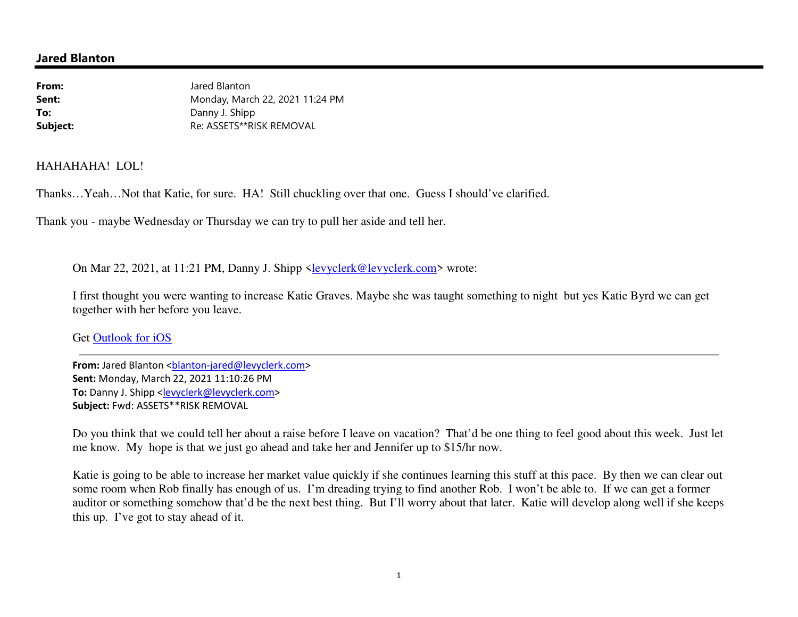## **Jared Blanton**

| From:    | Jared Blanton                   |
|----------|---------------------------------|
| Sent:    | Monday, March 22, 2021 11:24 PM |
| To:      | Danny J. Shipp                  |
| Subject: | Re: ASSETS**RISK REMOVAL        |

### HAHAHAHA! LOL!

Thanks…Yeah…Not that Katie, for sure. HA! Still chuckling over that one. Guess I should've clarified.

Thank you - maybe Wednesday or Thursday we can try to pull her aside and tell her.

On Mar 22, 2021, at 11:21 PM, Danny J. Shipp <levyclerk@levyclerk.com> wrote:

I first thought you were wanting to increase Katie Graves. Maybe she was taught something to night but yes Katie Byrd we can get together with her before you leave.

Get Outlook for iOS

**From:** Jared Blanton <br />
combinaton-jared@levyclerk.com> **Sent:** Monday, March 22, 2021 11:10:26 PM To: Danny J. Shipp <levyclerk@levyclerk.com> **Subject:** Fwd: ASSETS\*\*RISK REMOVAL

Do you think that we could tell her about a raise before I leave on vacation? That'd be one thing to feel good about this week. Just let me know. My hope is that we just go ahead and take her and Jennifer up to \$15/hr now.

Katie is going to be able to increase her market value quickly if she continues learning this stuff at this pace. By then we can clear out some room when Rob finally has enough of us. I'm dreading trying to find another Rob. I won't be able to. If we can get a former auditor or something somehow that'd be the next best thing. But I'll worry about that later. Katie will develop along well if she keeps this up. I've got to stay ahead of it.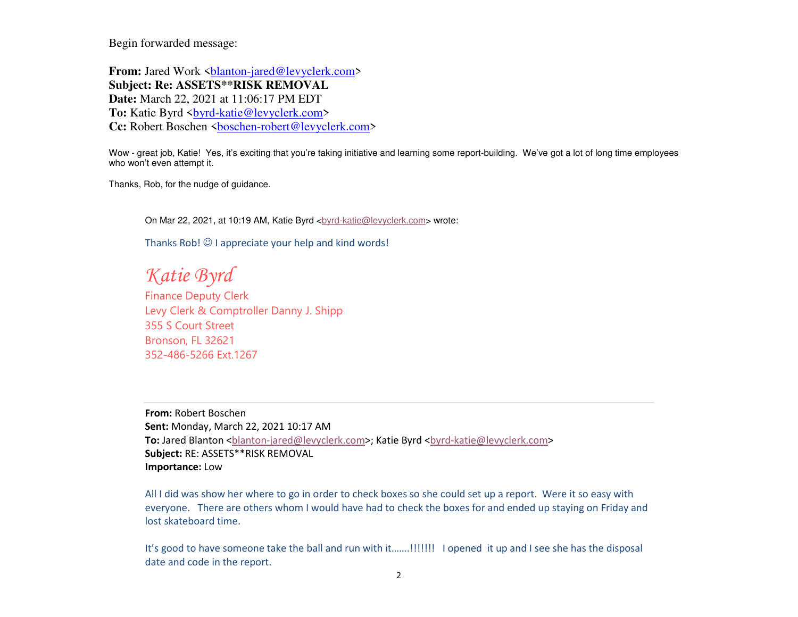Begin forwarded message:

**From:** Jared Work <br/>substrated@levyclerk.com> **Subject: Re: ASSETS\*\*RISK REMOVAL Date:** March 22, 2021 at 11:06:17 PM EDT To: Katie Byrd <**brd-katie@levyclerk.com>** Cc: Robert Boschen <br />
<u>boschen-robert@levyclerk.com</u>>

Wow - great job, Katie! Yes, it's exciting that you're taking initiative and learning some report-building. We've got a lot of long time employees who won't even attempt it.

Thanks, Rob, for the nudge of guidance.

On Mar 22, 2021, at 10:19 AM, Katie Byrd <br/> <br/> <br/>  $\epsilon$  />  $\epsilon$  />  $\epsilon$  />  $\epsilon$  />  $\epsilon$  />  $\epsilon$  />  $\epsilon$  />  $\epsilon$  />  $\epsilon$  />  $\epsilon$  />  $\epsilon$  />  $\epsilon$  />  $\epsilon$  />  $\epsilon$  />  $\epsilon$  />  $\epsilon$  />  $\epsilon$  />  $\epsilon$  />  $\epsilon$  />  $\epsilon$  />  $\epsilon$ 

Thanks Rob!  $\odot$  I appreciate your help and kind words!

*Katie Byrd*

 Finance Deputy Clerk Levy Clerk & Comptroller Danny J. Shipp355 S Court StreetBronson, FL 32621352-486-5266 Ext.1267

**From:** Robert Boschen **Sent:** Monday, March 22, 2021 10:17 AM **To:** Jared Blanton <br />
shandom-jared@levyclerk.com>; Katie Byrd <br />
katie@levyclerk.com> **Subject:** RE: ASSETS\*\*RISK REMOVAL **Importance:** Low

All I did was show her where to go in order to check boxes so she could set up a report. Were it so easy with everyone. There are others whom I would have had to check the boxes for and ended up staying on Friday and lost skateboard time.

It's good to have someone take the ball and run with it…….!!!!!!! I opened it up and I see she has the disposal date and code in the report.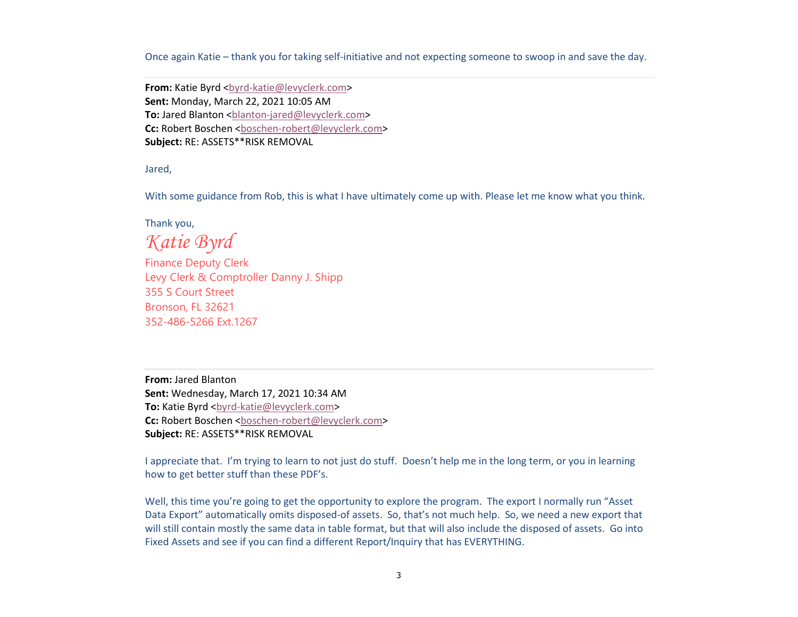Once again Katie – thank you for taking self-initiative and not expecting someone to swoop in and save the day.

From: Katie Byrd <br />byrd-katie@levyclerk.com> **Sent:** Monday, March 22, 2021 10:05 AM **To:** Jared Blanton <br />blanton-jared@levyclerk.com> **Cc:** Robert Boschen <br/>boschen-robert@levyclerk.com> **Subject:** RE: ASSETS\*\*RISK REMOVAL

Jared,

With some guidance from Rob, this is what I have ultimately come up with. Please let me know what you think.

Thank you,

*Katie Byrd*

 Finance Deputy Clerk Levy Clerk & Comptroller Danny J. Shipp355 S Court Street Bronson, FL 32621352-486-5266 Ext.1267

**From:** Jared Blanton **Sent:** Wednesday, March 17, 2021 10:34 AM **To:** Katie Byrd <br/>byrd-katie@levyclerk.com> Cc: Robert Boschen <br />
chooschen-robert@levyclerk.com> **Subject:** RE: ASSETS\*\*RISK REMOVAL

I appreciate that. I'm trying to learn to not just do stuff. Doesn't help me in the long term, or you in learning how to get better stuff than these PDF's.

Well, this time you're going to get the opportunity to explore the program. The export I normally run "Asset" Data Export" automatically omits disposed-of assets. So, that's not much help. So, we need a new export that will still contain mostly the same data in table format, but that will also include the disposed of assets. Go into Fixed Assets and see if you can find a different Report/Inquiry that has EVERYTHING.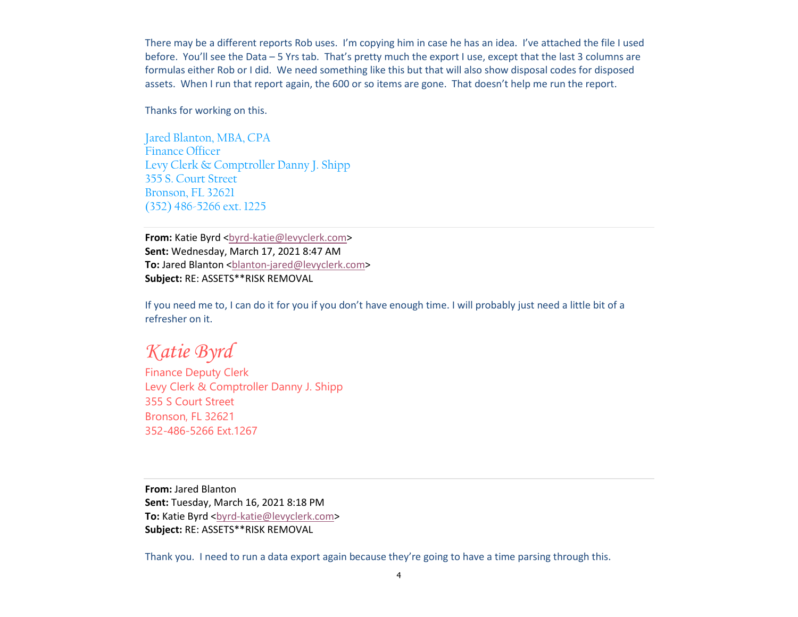There may be a different reports Rob uses. I'm copying him in case he has an idea. I've attached the file I used before. You'll see the Data – 5 Yrs tab. That's pretty much the export I use, except that the last 3 columns are formulas either Rob or I did. We need something like this but that will also show disposal codes for disposed assets. When I run that report again, the 600 or so items are gone. That doesn't help me run the report.

Thanks for working on this.

Jared Blanton, MBA, CPAFinance Officer Levy Clerk & Comptroller Danny J. Shipp355 S. Court Street Bronson, FL 32621(352) 486-5266 ext. 1225

**From:** Katie Byrd <br/> <br/> <br/>
katie@levyclerk.com> **Sent:** Wednesday, March 17, 2021 8:47 AM **To:** Jared Blanton <br />blanton-jared@levyclerk.com> **Subject:** RE: ASSETS\*\*RISK REMOVAL

If you need me to, I can do it for you if you don't have enough time. I will probably just need a little bit of a refresher on it.

# *Katie Byrd*

 Finance Deputy Clerk Levy Clerk & Comptroller Danny J. Shipp355 S Court StreetBronson, FL 32621352-486-5266 Ext.1267

**From:** Jared Blanton **Sent:** Tuesday, March 16, 2021 8:18 PM **To:** Katie Byrd <br />byrd-katie@levyclerk.com> **Subject:** RE: ASSETS\*\*RISK REMOVAL

Thank you. I need to run a data export again because they're going to have a time parsing through this.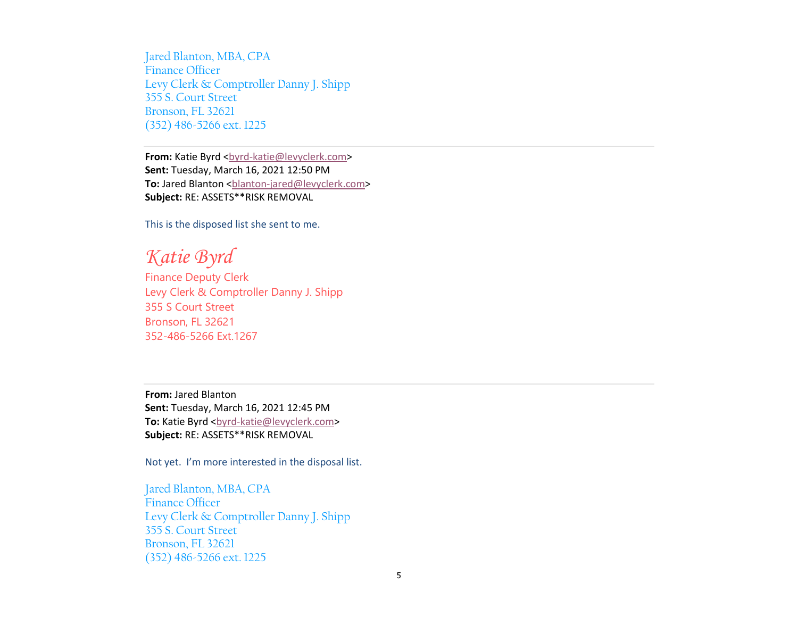Jared Blanton, MBA, CPAFinance Officer Levy Clerk & Comptroller Danny J. Shipp355 S. Court Street Bronson, FL 32621(352) 486-5266 ext. 1225

From: Katie Byrd <br />byrd-katie@levyclerk.com> **Sent:** Tuesday, March 16, 2021 12:50 PM To: Jared Blanton <br />
slanton-jared@levyclerk.com> **Subject:** RE: ASSETS\*\*RISK REMOVAL

This is the disposed list she sent to me.

*Katie Byrd*

 Finance Deputy Clerk Levy Clerk & Comptroller Danny J. Shipp355 S Court Street Bronson, FL 32621352-486-5266 Ext.1267

**From:** Jared Blanton **Sent:** Tuesday, March 16, 2021 12:45 PM To: Katie Byrd <br />byrd-katie@levyclerk.com> **Subject:** RE: ASSETS\*\*RISK REMOVAL

Not yet. I'm more interested in the disposal list.

Jared Blanton, MBA, CPAFinance Officer Levy Clerk & Comptroller Danny J. Shipp355 S. Court Street Bronson, FL 32621(352) 486-5266 ext. 1225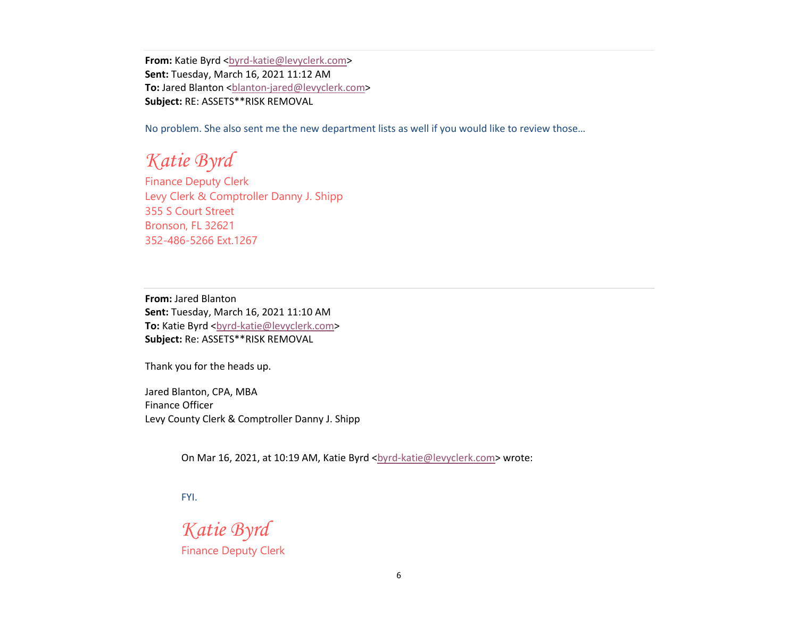**From:** Katie Byrd <br/>byrd-katie@levyclerk.com> **Sent:** Tuesday, March 16, 2021 11:12 AM To: Jared Blanton <br />
slanton-jared@levyclerk.com> **Subject:** RE: ASSETS\*\*RISK REMOVAL

No problem. She also sent me the new department lists as well if you would like to review those…

*Katie Byrd*

 Finance Deputy Clerk Levy Clerk & Comptroller Danny J. Shipp355 S Court Street Bronson, FL 32621352-486-5266 Ext.1267

**From:** Jared Blanton **Sent:** Tuesday, March 16, 2021 11:10 AM To: Katie Byrd <br/>byrd-katie@levyclerk.com> **Subject:** Re: ASSETS\*\*RISK REMOVAL

Thank you for the heads up.

Jared Blanton, CPA, MBA Finance Officer Levy County Clerk & Comptroller Danny J. Shipp

On Mar 16, 2021, at 10:19 AM, Katie Byrd <br/> <br/> <br/>
detain-burder and Mar 16, 2021, at 10:19 AM, Katie Byrd <br/>
<br/>
<br/>
<br/>
Letain-Burder and Mar 16, 2021, at 10:19 AM, Katie Byrd <br/>
<br/>
<br/>
<br/>
Let

FYI.

*Katie Byrd*

Finance Deputy Clerk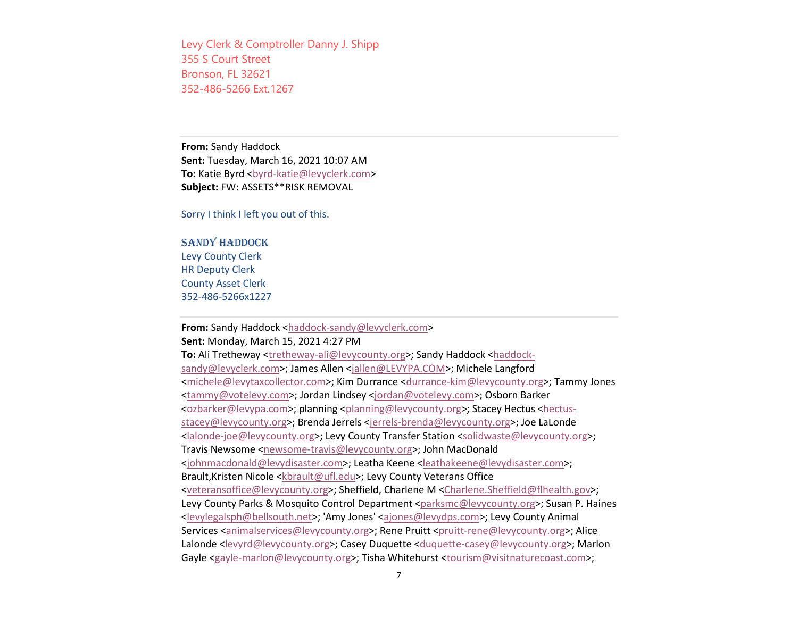Levy Clerk & Comptroller Danny J. Shipp355 S Court StreetBronson, FL 32621352-486-5266 Ext.1267

**From:** Sandy Haddock **Sent:** Tuesday, March 16, 2021 10:07 AM **To:** Katie Byrd <br/>byrd-katie@levyclerk.com> **Subject:** FW: ASSETS\*\*RISK REMOVAL

Sorry I think I left you out of this.

SANDY HADDOCK Levy County Clerk HR Deputy Clerk County Asset Clerk352-486-5266x1227

## **From:** Sandy Haddock <haddock-sandy@levyclerk.com>

**Sent:** Monday, March 15, 2021 4:27 PM

To: Ali Tretheway <**tretheway-ali@levycounty.org>; Sandy Haddock** <haddocksandy@levyclerk.com>; James Allen <jallen@LEVYPA.COM>; Michele Langford <michele@levytaxcollector.com>; Kim Durrance <durrance-kim@levycounty.org>; Tammy Jones <tammy@votelevy.com>; Jordan Lindsey <jordan@votelevy.com>; Osborn Barker <ozbarker@levypa.com>; planning <planning@levycounty.org>; Stacey Hectus <hectusstacey@levycounty.org>; Brenda Jerrels <jerrels-brenda@levycounty.org>; Joe LaLonde <lalonde-joe@levycounty.org>; Levy County Transfer Station <solidwaste@levycounty.org>; Travis Newsome <newsome-travis@levycounty.org>; John MacDonald <johnmacdonald@levydisaster.com>; Leatha Keene <leathakeene@levydisaster.com>; Brault,Kristen Nicole <kbrault@ufl.edu>; Levy County Veterans Office <veteransoffice@levycounty.org>; Sheffield, Charlene M <Charlene.Sheffield@flhealth.gov>; Levy County Parks & Mosquito Control Department <parksmc@levycounty.org>; Susan P. Haines <levylegalsph@bellsouth.net>; 'Amy Jones' <ajones@levydps.com>; Levy County Animal Services <animalservices@levycounty.org>; Rene Pruitt <pruitt-rene@levycounty.org>; Alice Lalonde <levyrd@levycounty.org>; Casey Duquette <duquette-casey@levycounty.org>; Marlon Gayle <gayle-marlon@levycounty.org>; Tisha Whitehurst <tourism@visitnaturecoast.com>;